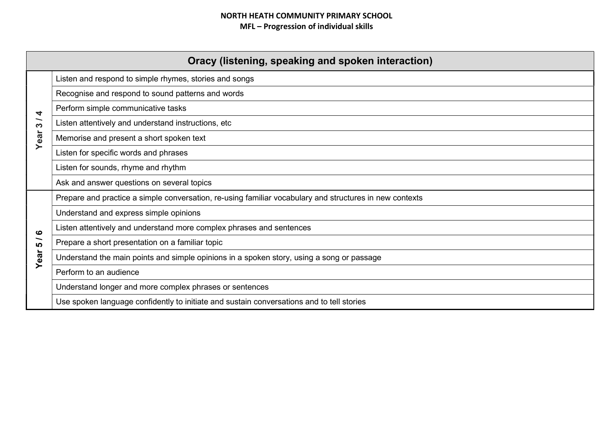## NORTH HEATH COMMUNITY PRIMARY SCHOOL MFL – Progression of individual skills

| Oracy (listening, speaking and spoken interaction) |                                                                                                         |  |
|----------------------------------------------------|---------------------------------------------------------------------------------------------------------|--|
| 4<br>$\overline{\phantom{0}}$<br>က<br>Year         | Listen and respond to simple rhymes, stories and songs                                                  |  |
|                                                    | Recognise and respond to sound patterns and words                                                       |  |
|                                                    | Perform simple communicative tasks                                                                      |  |
|                                                    | Listen attentively and understand instructions, etc                                                     |  |
|                                                    | Memorise and present a short spoken text                                                                |  |
|                                                    | Listen for specific words and phrases                                                                   |  |
|                                                    | Listen for sounds, rhyme and rhythm                                                                     |  |
|                                                    | Ask and answer questions on several topics                                                              |  |
| ဖ<br>∽<br>Ю<br>Year                                | Prepare and practice a simple conversation, re-using familiar vocabulary and structures in new contexts |  |
|                                                    | Understand and express simple opinions                                                                  |  |
|                                                    | Listen attentively and understand more complex phrases and sentences                                    |  |
|                                                    | Prepare a short presentation on a familiar topic                                                        |  |
|                                                    | Understand the main points and simple opinions in a spoken story, using a song or passage               |  |
|                                                    | Perform to an audience                                                                                  |  |
|                                                    | Understand longer and more complex phrases or sentences                                                 |  |
|                                                    | Use spoken language confidently to initiate and sustain conversations and to tell stories               |  |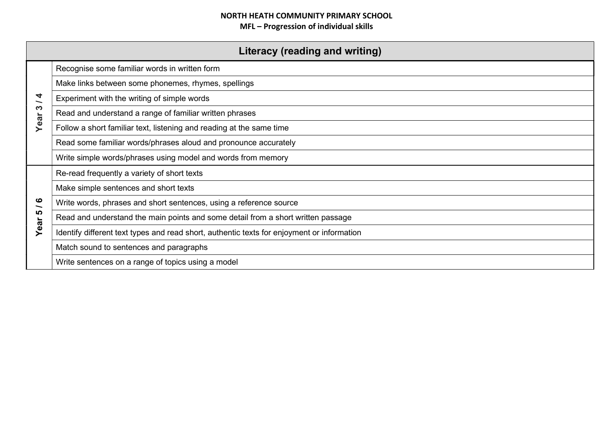## NORTH HEATH COMMUNITY PRIMARY SCHOOL MFL – Progression of individual skills

| Literacy (reading and writing)             |                                                                                            |  |
|--------------------------------------------|--------------------------------------------------------------------------------------------|--|
| ◥<br>$\overline{\phantom{0}}$<br>က<br>Year | Recognise some familiar words in written form                                              |  |
|                                            | Make links between some phonemes, rhymes, spellings                                        |  |
|                                            | Experiment with the writing of simple words                                                |  |
|                                            | Read and understand a range of familiar written phrases                                    |  |
|                                            | Follow a short familiar text, listening and reading at the same time                       |  |
|                                            | Read some familiar words/phrases aloud and pronounce accurately                            |  |
|                                            | Write simple words/phrases using model and words from memory                               |  |
| ဖ<br><u> ဟ</u><br>Year                     | Re-read frequently a variety of short texts                                                |  |
|                                            | Make simple sentences and short texts                                                      |  |
|                                            | Write words, phrases and short sentences, using a reference source                         |  |
|                                            | Read and understand the main points and some detail from a short written passage           |  |
|                                            | Identify different text types and read short, authentic texts for enjoyment or information |  |
|                                            | Match sound to sentences and paragraphs                                                    |  |
|                                            | Write sentences on a range of topics using a model                                         |  |